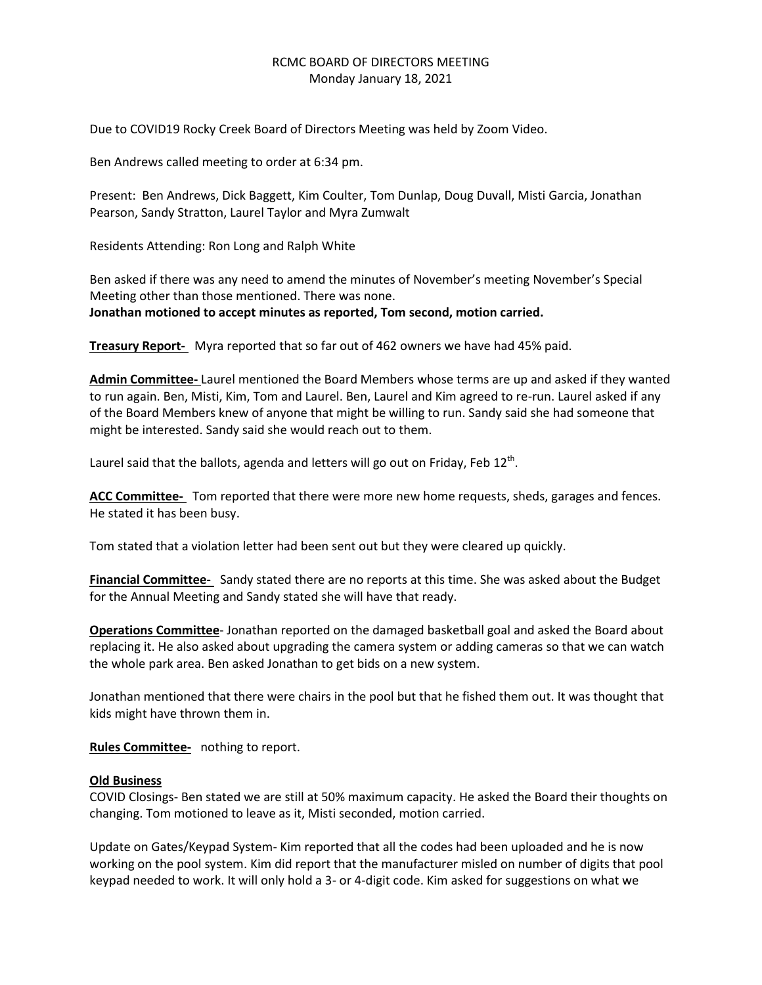## RCMC BOARD OF DIRECTORS MEETING Monday January 18, 2021

Due to COVID19 Rocky Creek Board of Directors Meeting was held by Zoom Video.

Ben Andrews called meeting to order at 6:34 pm.

Present: Ben Andrews, Dick Baggett, Kim Coulter, Tom Dunlap, Doug Duvall, Misti Garcia, Jonathan Pearson, Sandy Stratton, Laurel Taylor and Myra Zumwalt

Residents Attending: Ron Long and Ralph White

Ben asked if there was any need to amend the minutes of November's meeting November's Special Meeting other than those mentioned. There was none. **Jonathan motioned to accept minutes as reported, Tom second, motion carried.**

**Treasury Report-** Myra reported that so far out of 462 owners we have had 45% paid.

**Admin Committee-** Laurel mentioned the Board Members whose terms are up and asked if they wanted to run again. Ben, Misti, Kim, Tom and Laurel. Ben, Laurel and Kim agreed to re-run. Laurel asked if any of the Board Members knew of anyone that might be willing to run. Sandy said she had someone that might be interested. Sandy said she would reach out to them.

Laurel said that the ballots, agenda and letters will go out on Friday, Feb 12<sup>th</sup>.

**ACC Committee-** Tom reported that there were more new home requests, sheds, garages and fences. He stated it has been busy.

Tom stated that a violation letter had been sent out but they were cleared up quickly.

**Financial Committee-** Sandy stated there are no reports at this time. She was asked about the Budget for the Annual Meeting and Sandy stated she will have that ready.

**Operations Committee**- Jonathan reported on the damaged basketball goal and asked the Board about replacing it. He also asked about upgrading the camera system or adding cameras so that we can watch the whole park area. Ben asked Jonathan to get bids on a new system.

Jonathan mentioned that there were chairs in the pool but that he fished them out. It was thought that kids might have thrown them in.

**Rules Committee-** nothing to report.

## **Old Business**

COVID Closings- Ben stated we are still at 50% maximum capacity. He asked the Board their thoughts on changing. Tom motioned to leave as it, Misti seconded, motion carried.

Update on Gates/Keypad System- Kim reported that all the codes had been uploaded and he is now working on the pool system. Kim did report that the manufacturer misled on number of digits that pool keypad needed to work. It will only hold a 3- or 4-digit code. Kim asked for suggestions on what we